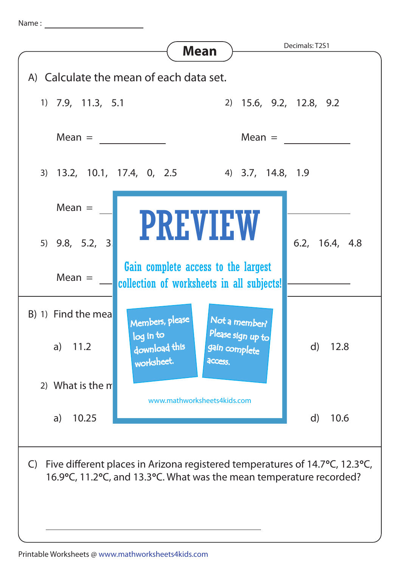Name :